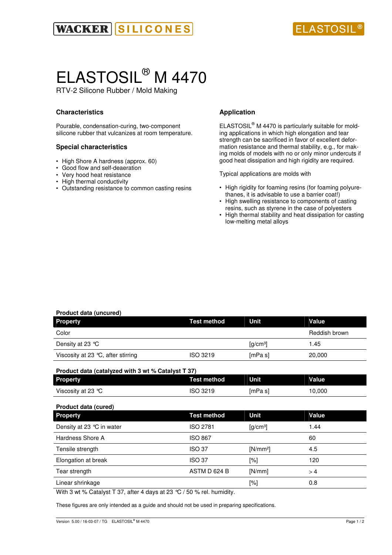

# ELASTOSIL® M 4470

RTV-2 Silicone Rubber / Mold Making

### **Characteristics**

Pourable, condensation-curing, two-component silicone rubber that vulcanizes at room temperature.

### **Special characteristics**

- High Shore A hardness (approx. 60)
- Good flow and self-deaeration
- Very hood heat resistance
- High thermal conductivity
- Outstanding resistance to common casting resins

### **Application**

ELASTOSIL<sup>®</sup> M 4470 is particularly suitable for molding applications in which high elongation and tear strength can be sacrificed in favor of excellent deformation resistance and thermal stability, e.g., for making molds of models with no or only minor undercuts if good heat dissipation and high rigidity are required.

Typical applications are molds with

- High rigidity for foaming resins (for foaming polyurethanes, it is advisable to use a barrier coat!)
- High swelling resistance to components of casting resins, such as styrene in the case of polyesters
- High thermal stability and heat dissipation for casting low-melting metal alloys

### **Product data (uncured) Property Contract Mateural Method Unit Value Value** Color **Color** Reddish brown **Color** Reddish brown **Reddish brown** Density at 23 °C  $[q/cm^3]$  1.45 Viscosity at 23 °C, after stirring ISO 3219 [mPa s] 20,000 **Product data (catalyzed with 3 wt % Catalyst T 37) Property Test method** Unit Value Viscosity at 23 °C  $\sim$  ISO 3219 [mPa s] 10,000 **Product data (cured) Property CONFIDENT METALLY CONFIDENT METALLY CONFIDENT CONFIDENT CONFIDENT CONFIDENT CONFIDENT CONFIDENT CONFIDENT CONFIDENT CONFIDENT CONFIDENT CONFIDENT CONFIDENT CONFIDENT CONFIDENT CONFIDENT CONFIDENT CONFIDENT CONF** Density at 23 °C in water  $\sim$  ISO 2781 [g/cm<sup>3</sup>] 1.44 Hardness Shore A **ISO 867** 60 Tensile strength **ISO 37** [N/mm<sup>2</sup>] 4.5 Elongation at break **ISO 37** [%] 120 Tear strength **ASTM D 624 B** [N/mm]  $>4$ Linear shrinkage **a** control of the control of the control of the control of the control of the control of the control of the control of the control of the control of the control of the control of the control of the contro With 3 wt % Catalyst T 37, after 4 days at 23 °C / 50 % rel. humidity.

These figures are only intended as a guide and should not be used in preparing specifications.